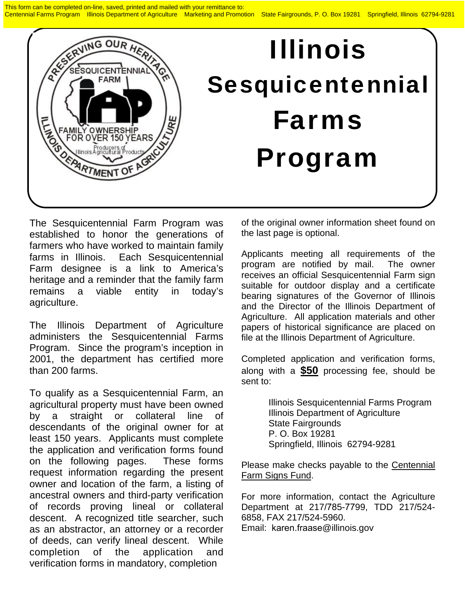This form can be completed on-line, saved, printed and mailed with your remittance to: Centennial Farms Program Illinois Department of Agriculture Marketing and Promotion State Fairgrounds, P. O. Box 19281 Springfield, Illinois 62794-9281



The Sesquicentennial Farm Program was established to honor the generations of farmers who have worked to maintain family farms in Illinois. Each Sesquicentennial Farm designee is a link to America's heritage and a reminder that the family farm remains a viable entity in today's agriculture.

The Illinois Department of Agriculture administers the Sesquicentennial Farms Program. Since the program's inception in 2001, the department has certified more than 200 farms.

To qualify as a Sesquicentennial Farm, an agricultural property must have been owned by a straight or collateral line of descendants of the original owner for at least 150 years. Applicants must complete the application and verification forms found on the following pages. These forms request information regarding the present owner and location of the farm, a listing of ancestral owners and third-party verification of records proving lineal or collateral descent. A recognized title searcher, such as an abstractor, an attorney or a recorder of deeds, can verify lineal descent. While completion of the application and verification forms in mandatory, completion

of the original owner information sheet found on the last page is optional.

Applicants meeting all requirements of the program are notified by mail. The owner receives an official Sesquicentennial Farm sign suitable for outdoor display and a certificate bearing signatures of the Governor of Illinois and the Director of the Illinois Department of Agriculture. All application materials and other papers of historical significance are placed on file at the Illinois Department of Agriculture.

Completed application and verification forms, along with a **\$50** processing fee, should be sent to:

> Illinois Sesquicentennial Farms Program Illinois Department of Agriculture State Fairgrounds P. O. Box 19281 Springfield, Illinois 62794-9281

Please make checks payable to the Centennial Farm Signs Fund.

For more information, contact the Agriculture Department at 217/785-7799, TDD 217/524- 6858, FAX 217/524-5960. Email: karen.fraase@illinois.gov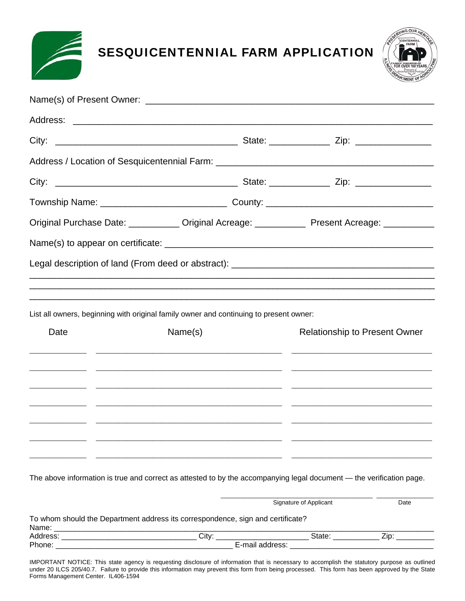

SESQUICENTENNIAL FARM APPLICATION



|      |  |                                                                                        | Original Purchase Date: ___________ Original Acreage: ___________ Present Acreage: ___________                       |
|------|--|----------------------------------------------------------------------------------------|----------------------------------------------------------------------------------------------------------------------|
|      |  |                                                                                        |                                                                                                                      |
|      |  |                                                                                        | Legal description of land (From deed or abstract): ______________________________                                    |
|      |  |                                                                                        |                                                                                                                      |
|      |  |                                                                                        |                                                                                                                      |
|      |  | List all owners, beginning with original family owner and continuing to present owner: |                                                                                                                      |
| Date |  | Name(s)                                                                                | <b>Relationship to Present Owner</b>                                                                                 |
|      |  |                                                                                        |                                                                                                                      |
|      |  |                                                                                        |                                                                                                                      |
|      |  |                                                                                        |                                                                                                                      |
|      |  |                                                                                        |                                                                                                                      |
|      |  |                                                                                        |                                                                                                                      |
|      |  |                                                                                        |                                                                                                                      |
|      |  |                                                                                        | The above information is true and correct as attested to by the accompanying legal document - the verification page. |

|          | To whom should the Department address its correspondence, sign and certificate? |        |  |
|----------|---------------------------------------------------------------------------------|--------|--|
| Name:    |                                                                                 |        |  |
| Address: | Cit∨:                                                                           | State: |  |
| Phone:   | E-mail address:                                                                 |        |  |

Signature of Applicant **Date** 

IMPORTANT NOTICE: This state agency is requesting disclosure of information that is necessary to accomplish the statutory purpose as outlined under 20 ILCS 205/40.7. Failure to provide this information may prevent this form from being processed. This form has been approved by the State Forms Management Center. IL406-1594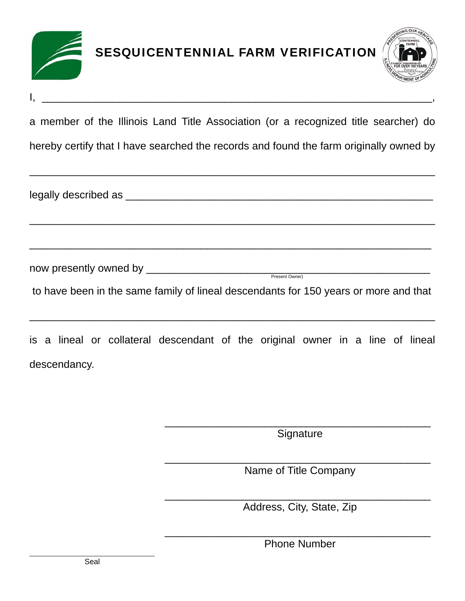

| a member of the Illinois Land Title Association (or a recognized title searcher) do |  |
|-------------------------------------------------------------------------------------|--|
|-------------------------------------------------------------------------------------|--|

hereby certify that I have searched the records and found the farm originally owned by

\_\_\_\_\_\_\_\_\_\_\_\_\_\_\_\_\_\_\_\_\_\_\_\_\_\_\_\_\_\_\_\_\_\_\_\_\_\_\_\_\_\_\_\_\_\_\_\_\_\_\_\_\_\_\_\_\_\_\_\_\_\_\_\_\_\_\_\_

\_\_\_\_\_\_\_\_\_\_\_\_\_\_\_\_\_\_\_\_\_\_\_\_\_\_\_\_\_\_\_\_\_\_\_\_\_\_\_\_\_\_\_\_\_\_\_\_\_\_\_\_\_\_\_\_\_\_\_\_\_\_\_\_\_\_\_\_

\_\_\_\_\_\_\_\_\_\_\_\_\_\_\_\_\_\_\_\_\_\_\_\_\_\_\_\_\_\_\_\_\_\_\_\_\_\_\_\_\_\_\_\_\_\_\_\_\_\_\_\_\_\_\_\_\_\_\_\_\_\_\_\_\_\_\_\_

legally described as \_\_\_\_\_\_\_\_\_\_\_\_\_\_\_\_\_\_\_\_\_\_\_\_\_\_\_\_\_\_\_\_\_\_\_\_\_\_\_\_\_\_\_\_\_\_\_\_\_\_\_\_

 $\frac{1}{2}$  ,  $\frac{1}{2}$  ,  $\frac{1}{2}$  ,  $\frac{1}{2}$  ,  $\frac{1}{2}$  ,  $\frac{1}{2}$  ,  $\frac{1}{2}$  ,  $\frac{1}{2}$  ,  $\frac{1}{2}$  ,  $\frac{1}{2}$  ,  $\frac{1}{2}$  ,  $\frac{1}{2}$  ,  $\frac{1}{2}$  ,  $\frac{1}{2}$  ,  $\frac{1}{2}$  ,  $\frac{1}{2}$  ,  $\frac{1}{2}$  ,  $\frac{1}{2}$  ,  $\frac{1$ 

now presently owned by \_\_\_\_\_\_\_\_\_\_\_\_\_\_\_\_\_\_\_\_\_\_\_\_\_\_\_\_\_\_\_\_\_\_\_\_\_\_\_\_\_\_\_\_\_\_\_\_ Present Owner)

to have been in the same family of lineal descendants for 150 years or more and that

\_\_\_\_\_\_\_\_\_\_\_\_\_\_\_\_\_\_\_\_\_\_\_\_\_\_\_\_\_\_\_\_\_\_\_\_\_\_\_\_\_\_\_\_\_\_\_\_\_\_\_\_\_\_\_\_\_\_\_\_\_\_\_\_\_\_\_\_

is a lineal or collateral descendant of the original owner in a line of lineal descendancy.

> \_\_\_\_\_\_\_\_\_\_\_\_\_\_\_\_\_\_\_\_\_\_\_\_\_\_\_\_\_\_\_\_\_\_\_\_\_\_\_\_\_\_\_\_\_ **Signature**

> \_\_\_\_\_\_\_\_\_\_\_\_\_\_\_\_\_\_\_\_\_\_\_\_\_\_\_\_\_\_\_\_\_\_\_\_\_\_\_\_\_\_\_\_\_ Name of Title Company

> \_\_\_\_\_\_\_\_\_\_\_\_\_\_\_\_\_\_\_\_\_\_\_\_\_\_\_\_\_\_\_\_\_\_\_\_\_\_\_\_\_\_\_\_\_ Address, City, State, Zip

> \_\_\_\_\_\_\_\_\_\_\_\_\_\_\_\_\_\_\_\_\_\_\_\_\_\_\_\_\_\_\_\_\_\_\_\_\_\_\_\_\_\_\_\_\_ Phone Number